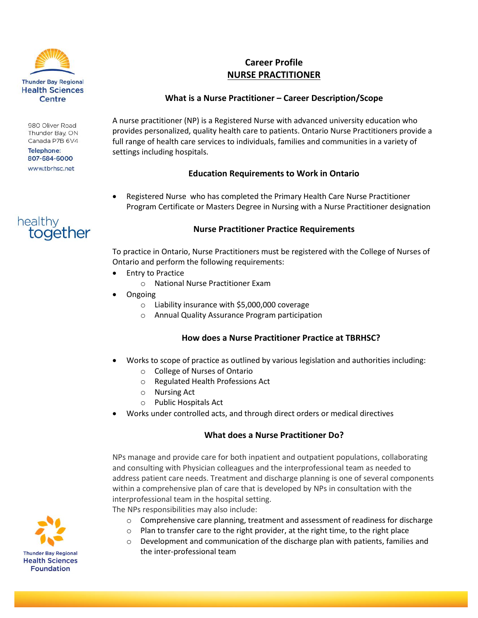

980 Oliver Road Thunder Bay, ON Canada P7B 6V4

**Telephone:** 807-684-6000 www.tbrhsc.net



# **Career Profile NURSE PRACTITIONER**

## **What is a Nurse Practitioner – Career Description/Scope**

A nurse practitioner (NP) is a Registered Nurse with advanced university education who provides personalized, quality health care to patients. Ontario Nurse Practitioners provide a full range of health care services to individuals, families and communities in a variety of settings including hospitals.

## **Education Requirements to Work in Ontario**

 Registered Nurse who has completed the Primary Health Care Nurse Practitioner Program Certificate or Masters Degree in Nursing with a Nurse Practitioner designation

#### **Nurse Practitioner Practice Requirements**

To practice in Ontario, Nurse Practitioners must be registered with the College of Nurses of Ontario and perform the following requirements:

- Entry to Practice
	- o National Nurse Practitioner Exam
- Ongoing
	- o Liability insurance with \$5,000,000 coverage
	- o Annual Quality Assurance Program participation

#### **How does a Nurse Practitioner Practice at TBRHSC?**

- Works to scope of practice as outlined by various legislation and authorities including:
	- o College of Nurses of Ontario
	- o Regulated Health Professions Act
	- o Nursing Act
	- o Public Hospitals Act
- Works under controlled acts, and through direct orders or medical directives

#### **What does a Nurse Practitioner Do?**

NPs manage and provide care for both inpatient and outpatient populations, collaborating and consulting with Physician colleagues and the interprofessional team as needed to address patient care needs. Treatment and discharge planning is one of several components within a comprehensive plan of care that is developed by NPs in consultation with the interprofessional team in the hospital setting.

The NPs responsibilities may also include:

- $\circ$  Comprehensive care planning, treatment and assessment of readiness for discharge
- o Plan to transfer care to the right provider, at the right time, to the right place
- o Development and communication of the discharge plan with patients, families and the inter-professional team